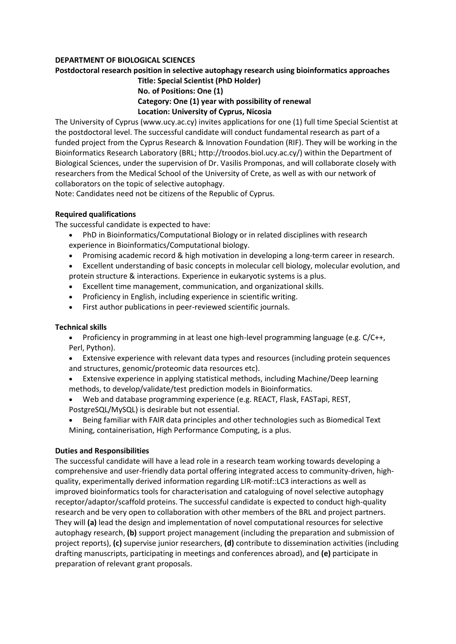## **DEPARTMENT OF BIOLOGICAL SCIENCES**

# **Postdoctoral research position in selective autophagy research using bioinformatics approaches**

# **Title: Special Scientist (PhD Holder) No. of Positions: One (1) Category: One (1) year with possibility of renewal Location: University of Cyprus, Nicosia**

The University of Cyprus (www.ucy.ac.cy) invites applications for one (1) full time Special Scientist at the postdoctoral level. The successful candidate will conduct fundamental research as part of a funded project from the Cyprus Research & Innovation Foundation (RIF). They will be working in the Bioinformatics Research Laboratory (BRL; http://troodos.biol.ucy.ac.cy/) within the Department of Biological Sciences, under the supervision of Dr. Vasilis Promponas, and will collaborate closely with researchers from the Medical School of the University of Crete, as well as with our network of collaborators on the topic of selective autophagy.

Note: Candidates need not be citizens of the Republic of Cyprus.

# **Required qualifications**

The successful candidate is expected to have:

- PhD in Bioinformatics/Computational Biology or in related disciplines with research experience in Bioinformatics/Computational biology.
- Promising academic record & high motivation in developing a long-term career in research.
- Excellent understanding of basic concepts in molecular cell biology, molecular evolution, and protein structure & interactions. Experience in eukaryotic systems is a plus.
- Excellent time management, communication, and organizational skills.
- Proficiency in English, including experience in scientific writing.
- First author publications in peer-reviewed scientific journals.

#### **Technical skills**

- Proficiency in programming in at least one high-level programming language (e.g. C/C++, Perl, Python).
- Extensive experience with relevant data types and resources (including protein sequences and structures, genomic/proteomic data resources etc).
- Extensive experience in applying statistical methods, including Machine/Deep learning methods, to develop/validate/test prediction models in Bioinformatics.
- Web and database programming experience (e.g. REACT, Flask, FASTapi, REST, PostgreSQL/MySQL) is desirable but not essential.
- Being familiar with FAIR data principles and other technologies such as Biomedical Text Mining, containerisation, High Performance Computing, is a plus.

#### **Duties and Responsibilities**

The successful candidate will have a lead role in a research team working towards developing a comprehensive and user-friendly data portal offering integrated access to community-driven, highquality, experimentally derived information regarding LIR-motif::LC3 interactions as well as improved bioinformatics tools for characterisation and cataloguing of novel selective autophagy receptor/adaptor/scaffold proteins. The successful candidate is expected to conduct high-quality research and be very open to collaboration with other members of the BRL and project partners. They will **(a)** lead the design and implementation of novel computational resources for selective autophagy research, **(b)** support project management (including the preparation and submission of project reports), **(c)** supervise junior researchers, **(d)** contribute to dissemination activities (including drafting manuscripts, participating in meetings and conferences abroad), and **(e)** participate in preparation of relevant grant proposals.